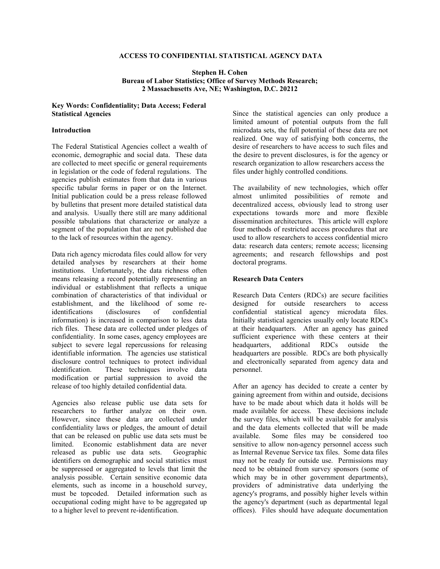# **ACCESS TO CONFIDENTIAL STATISTICAL AGENCY DATA**

### **Stephen H. Cohen Bureau of Labor Statistics; Office of Survey Methods Research; 2 Massachusetts Ave, NE; Washington, D.C. 20212**

## **Key Words: Confidentiality; Data Access; Federal Statistical Agencies**

## **Introduction**

The Federal Statistical Agencies collect a wealth of economic, demographic and social data. These data are collected to meet specific or general requirements in legislation or the code of federal regulations. The agencies publish estimates from that data in various specific tabular forms in paper or on the Internet. Initial publication could be a press release followed by bulletins that present more detailed statistical data and analysis. Usually there still are many additional possible tabulations that characterize or analyze a segment of the population that are not published due to the lack of resources within the agency.

Data rich agency microdata files could allow for very detailed analyses by researchers at their home institutions. Unfortunately, the data richness often means releasing a record potentially representing an individual or establishment that reflects a unique combination of characteristics of that individual or establishment, and the likelihood of some reidentifications (disclosures of confidential information) is increased in comparison to less data rich files. These data are collected under pledges of confidentiality. In some cases, agency employees are subject to severe legal repercussions for releasing identifiable information. The agencies use statistical disclosure control techniques to protect individual identification. These techniques involve data modification or partial suppression to avoid the release of too highly detailed confidential data.

Agencies also release public use data sets for researchers to further analyze on their own. However, since these data are collected under confidentiality laws or pledges, the amount of detail that can be released on public use data sets must be limited. Economic establishment data are never released as public use data sets. Geographic identifiers on demographic and social statistics must be suppressed or aggregated to levels that limit the analysis possible. Certain sensitive economic data elements, such as income in a household survey, must be topcoded. Detailed information such as occupational coding might have to be aggregated up to a higher level to prevent re-identification.

Since the statistical agencies can only produce a limited amount of potential outputs from the full microdata sets, the full potential of these data are not realized. One way of satisfying both concerns, the desire of researchers to have access to such files and the desire to prevent disclosures, is for the agency or research organization to allow researchers access the files under highly controlled conditions.

The availability of new technologies, which offer almost unlimited possibilities of remote and decentralized access, obviously lead to strong user expectations towards more and more flexible dissemination architectures. This article will explore four methods of restricted access procedures that are used to allow researchers to access confidential micro data: research data centers; remote access; licensing agreements; and research fellowships and post doctoral programs.

## **Research Data Centers**

Research Data Centers (RDCs) are secure facilities designed for outside researchers to access confidential statistical agency microdata files. Initially statistical agencies usually only locate RDCs at their headquarters. After an agency has gained sufficient experience with these centers at their headquarters, additional RDCs outside the headquarters are possible. RDCs are both physically and electronically separated from agency data and personnel.

After an agency has decided to create a center by gaining agreement from within and outside, decisions have to be made about which data it holds will be made available for access. These decisions include the survey files, which will be available for analysis and the data elements collected that will be made available. Some files may be considered too sensitive to allow non-agency personnel access such as Internal Revenue Service tax files. Some data files may not be ready for outside use. Permissions may need to be obtained from survey sponsors (some of which may be in other government departments), providers of administrative data underlying the agency's programs, and possibly higher levels within the agency's department (such as departmental legal offices). Files should have adequate documentation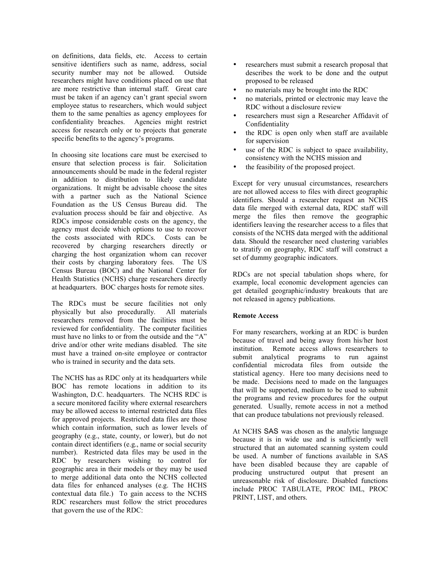on definitions, data fields, etc. Access to certain sensitive identifiers such as name, address, social security number may not be allowed. Outside researchers might have conditions placed on use that are more restrictive than internal staff. Great care must be taken if an agency can't grant special sworn employee status to researchers, which would subject them to the same penalties as agency employees for confidentiality breaches. Agencies might restrict access for research only or to projects that generate specific benefits to the agency's programs.

In choosing site locations care must be exercised to ensure that selection process is fair. Solicitation announcements should be made in the federal register in addition to distribution to likely candidate organizations. It might be advisable choose the sites with a partner such as the National Science Foundation as the US Census Bureau did. The evaluation process should be fair and objective. As RDCs impose considerable costs on the agency, the agency must decide which options to use to recover the costs associated with RDCs. Costs can be recovered by charging researchers directly or charging the host organization whom can recover their costs by charging laboratory fees. The US Census Bureau (BOC) and the National Center for Health Statistics (NCHS) charge researchers directly at headquarters. BOC charges hosts for remote sites.

The RDCs must be secure facilities not only physically but also procedurally. All materials researchers removed from the facilities must be reviewed for confidentiality. The computer facilities must have no links to or from the outside and the "A" drive and/or other write medians disabled. The site must have a trained on-site employee or contractor who is trained in security and the data sets.

The NCHS has as RDC only at its headquarters while BOC has remote locations in addition to its Washington, D.C. headquarters. The NCHS RDC is a secure monitored facility where external researchers may be allowed access to internal restricted data files for approved projects. Restricted data files are those which contain information, such as lower levels of geography (e.g., state, county, or lower), but do not contain direct identifiers (e.g., name or social security number). Restricted data files may be used in the RDC by researchers wishing to control for geographic area in their models or they may be used to merge additional data onto the NCHS collected data files for enhanced analyses (e.g. The HCHS contextual data file.) To gain access to the NCHS RDC researchers must follow the strict procedures that govern the use of the RDC:

- researchers must submit a research proposal that describes the work to be done and the output proposed to be released
- no materials may be brought into the RDC
- no materials, printed or electronic may leave the RDC without a disclosure review
- researchers must sign a Researcher Affidavit of Confidentiality
- the RDC is open only when staff are available for supervision
- use of the RDC is subject to space availability, consistency with the NCHS mission and
- the feasibility of the proposed project.

Except for very unusual circumstances, researchers are not allowed access to files with direct geographic identifiers. Should a researcher request an NCHS data file merged with external data, RDC staff will merge the files then remove the geographic identifiers leaving the researcher access to a files that consists of the NCHS data merged with the additional data. Should the researcher need clustering variables to stratify on geography, RDC staff will construct a set of dummy geographic indicators.

RDCs are not special tabulation shops where, for example, local economic development agencies can get detailed geographic/industry breakouts that are not released in agency publications.

## **Remote Access**

For many researchers, working at an RDC is burden because of travel and being away from his/her host institution. Remote access allows researchers to submit analytical programs to run against confidential microdata files from outside the statistical agency. Here too many decisions need to be made. Decisions need to made on the languages that will be supported, medium to be used to submit the programs and review procedures for the output generated. Usually, remote access in not a method that can produce tabulations not previously released.

At NCHS SAS was chosen as the analytic language because it is in wide use and is sufficiently well structured that an automated scanning system could be used. A number of functions available in SAS have been disabled because they are capable of producing unstructured output that present an unreasonable risk of disclosure. Disabled functions include PROC TABULATE, PROC IML, PROC PRINT, LIST, and others.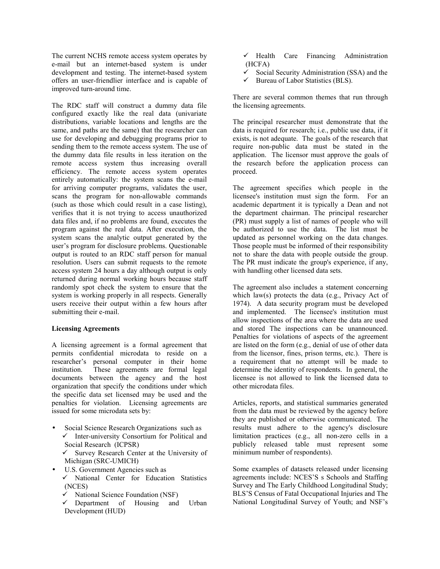The current NCHS remote access system operates by e-mail but an internet-based system is under development and testing. The internet-based system offers an user-friendlier interface and is capable of improved turn-around time.

The RDC staff will construct a dummy data file configured exactly like the real data (univariate distributions, variable locations and lengths are the same, and paths are the same) that the researcher can use for developing and debugging programs prior to sending them to the remote access system. The use of the dummy data file results in less iteration on the remote access system thus increasing overall efficiency. The remote access system operates entirely automatically: the system scans the e-mail for arriving computer programs, validates the user, scans the program for non-allowable commands (such as those which could result in a case listing), verifies that it is not trying to access unauthorized data files and, if no problems are found, executes the program against the real data. After execution, the system scans the analytic output generated by the user's program for disclosure problems. Questionable output is routed to an RDC staff person for manual resolution. Users can submit requests to the remote access system 24 hours a day although output is only returned during normal working hours because staff randomly spot check the system to ensure that the system is working properly in all respects. Generally users receive their output within a few hours after submitting their e-mail.

#### **Licensing Agreements**

A licensing agreement is a formal agreement that permits confidential microdata to reside on a researcher's personal computer in their home institution. These agreements are formal legal documents between the agency and the host organization that specify the conditions under which the specific data set licensed may be used and the penalties for violation. Licensing agreements are issued for some microdata sets by:

- Social Science Research Organizations such as  $\checkmark$  Inter-university Consortium for Political and Social Research (ICPSR)  $\checkmark$  Survey Research Center at the University of Michigan (SRC-UMICH)
	- U.S. Government Agencies such as  $\checkmark$  National Center for Education Statistics (NCES)
		- National Science Foundation (NSF)
		- $\checkmark$  Department of Housing and Urban Development (HUD)
- $\checkmark$  Health Care Financing Administration (HCFA)
- $\checkmark$  Social Security Administration (SSA) and the
- $\checkmark$  Bureau of Labor Statistics (BLS).

There are several common themes that run through the licensing agreements.

The principal researcher must demonstrate that the data is required for research; i.e., public use data, if it exists, is not adequate. The goals of the research that require non-public data must be stated in the application. The licensor must approve the goals of the research before the application process can proceed.

The agreement specifies which people in the licensee's institution must sign the form. For an academic department it is typically a Dean and not the department chairman. The principal researcher (PR) must supply a list of names of people who will be authorized to use the data. The list must be updated as personnel working on the data changes. Those people must be informed of their responsibility not to share the data with people outside the group. The PR must indicate the group's experience, if any, with handling other licensed data sets.

The agreement also includes a statement concerning which law(s) protects the data (e.g., Privacy Act of 1974). A data security program must be developed and implemented. The licensee's institution must allow inspections of the area where the data are used and stored The inspections can be unannounced. Penalties for violations of aspects of the agreement are listed on the form (e.g., denial of use of other data from the licensor, fines, prison terms, etc.). There is a requirement that no attempt will be made to determine the identity of respondents. In general, the licensee is not allowed to link the licensed data to other microdata files.

Articles, reports, and statistical summaries generated from the data must be reviewed by the agency before they are published or otherwise communicated. The results must adhere to the agency's disclosure limitation practices (e.g., all non-zero cells in a publicly released table must represent some minimum number of respondents).

Some examples of datasets released under licensing agreements include: NCES'S s Schools and Staffing Survey and The Early Childhood Longitudinal Study; BLS'S Census of Fatal Occupational Injuries and The National Longitudinal Survey of Youth; and NSF's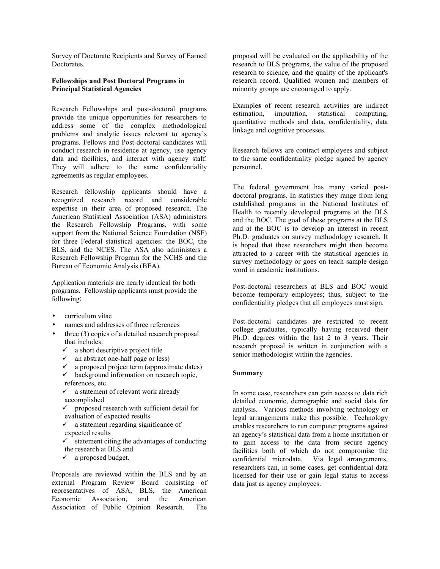Survey of Doctorate Recipients and Survey of Earned Doctorates.

## **Fellowships and Post Doctoral Programs in Principal Statistical Agencies**

Research Fellowships and post-doctoral programs provide the unique opportunities for researchers to address some of the complex methodological problems and analytic issues relevant to agency's programs. Fellows and Post-doctoral candidates will conduct research in residence at agency, use agency data and facilities, and interact with agency staff. They will adhere to the same confidentiality agreements as regular employees.

Research fellowship applicants should have a recognized research record and considerable expertise in their area of proposed research. The American Statistical Association (ASA) administers the Research Fellowship Programs, with some support from the National Science Foundation (NSF) for three Federal statistical agencies: the BOC, the BLS, and the NCES. The ASA also administers a Research Fellowship Program for the NCHS and the Bureau of Economic Analysis (BEA).

Application materials are nearly identical for both programs. Fellowship applicants must provide the following:

- curriculum vitae
- names and addresses of three references
- three (3) copies of a detailed research proposal that includes:
	- $\checkmark$  a short descriptive project title
	- $\checkmark$  an abstract one-half page or less)
	- $\checkmark$  a proposed project term (approximate dates)
	- $\checkmark$  background information on research topic, references, etc.
	- $\checkmark$  a statement of relevant work already accomplished
	- $\checkmark$  proposed research with sufficient detail for evaluation of expected results
	- $\checkmark$  a statement regarding significance of expected results
	- $\checkmark$  statement citing the advantages of conducting the research at BLS and
	- $\checkmark$  a proposed budget.

Proposals are reviewed within the BLS and by an external Program Review Board consisting of representatives of ASA, BLS, the American Economic Association, and the American Association of Public Opinion Research. The

proposal will be evaluated on the applicability of the research to BLS programs, the value of the proposed research to science, and the quality of the applicant's research record. Qualified women and members of minority groups are encouraged to apply.

Example**s** of recent research activities are indirect estimation, imputation, statistical computing, quantitative methods and data, confidentiality, data linkage and cognitive processes.

Research fellows are contract employees and subject to the same confidentiality pledge signed by agency personnel.

The federal government has many varied postdoctoral programs. In statistics they range from long established programs in the National Institutes of Health to recently developed programs at the BLS and the BOC. The goal of these programs at the BLS and at the BOC is to develop an interest in recent Ph.D. graduates on survey methodology research. It is hoped that these researchers might then become attracted to a career with the statistical agencies in survey methodology or goes on teach sample design word in academic institutions.

Post-doctoral researchers at BLS and BOC would become temporary employees; thus, subject to the confidentiality pledges that all employees must sign.

Post-doctoral candidates are restricted to recent college graduates, typically having received their Ph.D. degrees within the last 2 to 3 years. Their research proposal is written in conjunction with a senior methodologist within the agencies.

#### **Summary**

In some case, researchers can gain access to data rich detailed economic, demographic and social data for analysis. Various methods involving technology or legal arrangements make this possible. Technology enables researchers to run computer programs against an agency's statistical data from a home institution or to gain access to the data from secure agency facilities both of which do not compromise the confidential microdata. Via legal arrangements, researchers can, in some cases, get confidential data licensed for their use or gain legal status to access data just as agency employees.